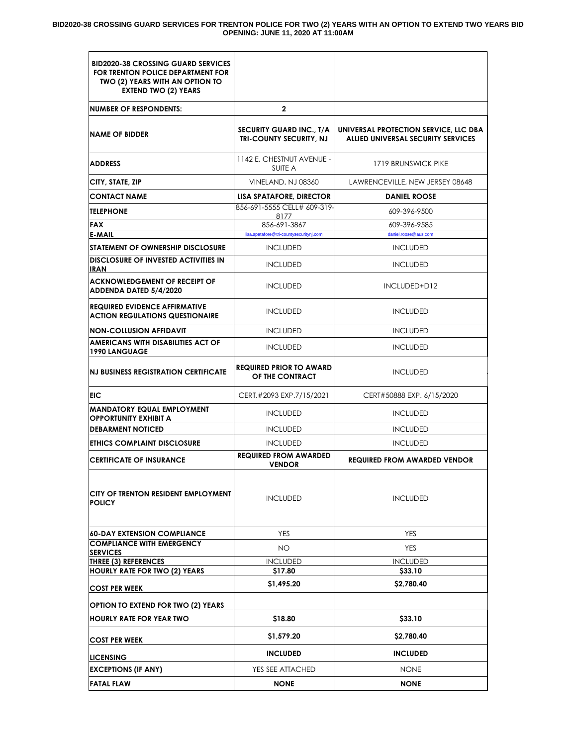#### **BID2020-38 CROSSING GUARD SERVICES FOR TRENTON POLICE FOR TWO (2) YEARS WITH AN OPTION TO EXTEND TWO YEARS BID OPENING: JUNE 11, 2020 AT 11:00AM**

| $\mathbf{2}$                                               |                                                                                    |  |
|------------------------------------------------------------|------------------------------------------------------------------------------------|--|
| <b>SECURITY GUARD INC., T/A</b><br>TRI-COUNTY SECURITY, NJ | UNIVERSAL PROTECTION SERVICE, LLC DBA<br><b>ALLIED UNIVERSAL SECURITY SERVICES</b> |  |
| 1142 E. CHESTNUT AVENUE -<br><b>SUITE A</b>                | 1719 BRUNSWICK PIKE                                                                |  |
| VINELAND, NJ 08360                                         | LAWRENCEVILLE, NEW JERSEY 08648                                                    |  |
| LISA SPATAFORE, DIRECTOR                                   | <b>DANIEL ROOSE</b>                                                                |  |
| 856-691-5555 CELL# 609-319-                                | 609-396-9500                                                                       |  |
| 856-691-3867                                               | 609-396-9585                                                                       |  |
| lisa.spatafore@tri-countysecuritynj.com                    | daniel.roose@aus.com                                                               |  |
| <b>INCLUDED</b>                                            | <b>INCLUDED</b>                                                                    |  |
| <b>INCLUDED</b>                                            | <b>INCLUDED</b>                                                                    |  |
| <b>INCLUDED</b>                                            | INCLUDED+D12                                                                       |  |
| <b>INCLUDED</b>                                            | <b>INCLUDED</b>                                                                    |  |
| <b>INCLUDED</b>                                            | <b>INCLUDED</b>                                                                    |  |
| <b>INCLUDED</b>                                            | <b>INCLUDED</b>                                                                    |  |
| <b>REQUIRED PRIOR TO AWARD</b><br>OF THE CONTRACT          | <b>INCLUDED</b>                                                                    |  |
| CERT.#2093 EXP.7/15/2021                                   | CERT#50888 EXP. 6/15/2020                                                          |  |
| <b>INCLUDED</b>                                            | <b>INCLUDED</b>                                                                    |  |
| <b>INCLUDED</b>                                            | <b>INCLUDED</b>                                                                    |  |
| <b>INCLUDED</b>                                            | <b>INCLUDED</b>                                                                    |  |
| <b>REQUIRED FROM AWARDED</b><br><b>VENDOR</b>              | <b>REQUIRED FROM AWARDED VENDOR</b>                                                |  |
| <b>INCLUDED</b>                                            | <b>INCLUDED</b>                                                                    |  |
| <b>YES</b>                                                 | <b>YES</b>                                                                         |  |
| NO.                                                        | <b>YES</b>                                                                         |  |
| <b>INCLUDED</b>                                            | <b>INCLUDED</b>                                                                    |  |
| \$17.80                                                    | \$33.10                                                                            |  |
| \$1,495.20                                                 | \$2,780.40                                                                         |  |
|                                                            |                                                                                    |  |
| \$18.80                                                    | \$33.10                                                                            |  |
| \$1,579.20                                                 | \$2,780.40                                                                         |  |
| <b>INCLUDED</b>                                            | <b>INCLUDED</b>                                                                    |  |
|                                                            | <b>NONE</b>                                                                        |  |
| YES SEE ATTACHED                                           |                                                                                    |  |
|                                                            | 8177                                                                               |  |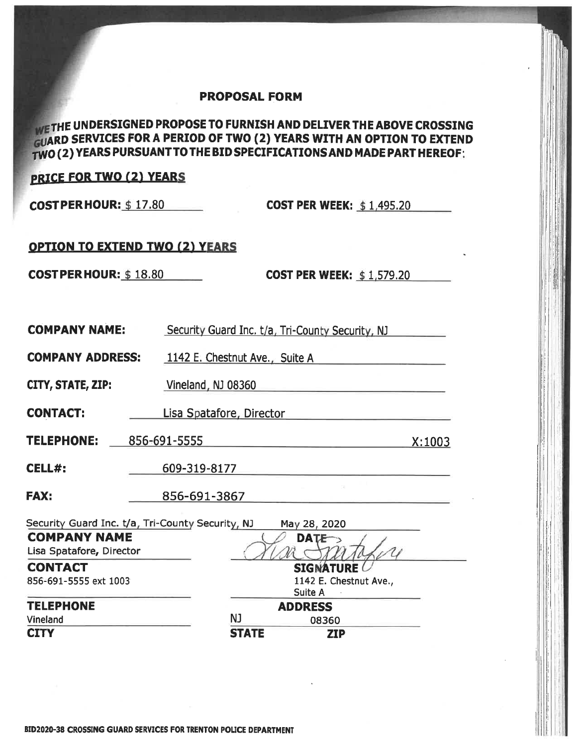### **PROPOSAL FORM**

# WE THE UNDERSIGNED PROPOSE TO FURNISH AND DELIVER THE ABOVE CROSSING **GUARD SERVICES FOR A PERIOD OF TWO (2) YEARS WITH AN OPTION TO EXTEND** TWO (2) YEARS PURSUANT TO THE BID SPECIFICATIONS AND MADE PART HEREOF:

## **PRICE FOR TWO (2) YEARS**

**COSTPERHOUR: \$17.80** 

**COST PER WEEK: \$1,495.20** 

# **OPTION TO EXTEND TWO (2) YEARS**

 $\textbf{COST PER HOUR: } \frac{1}{9}$  18.80

**COST PER WEEK: \$1,579.20** 

| <b>COMPANY NAME:</b>         | Security Guard Inc. t/a, Tri-County Security, NJ                 |  |  |  |  |  |
|------------------------------|------------------------------------------------------------------|--|--|--|--|--|
| <b>COMPANY ADDRESS:</b>      | 1142 E. Chestnut Ave., Suite A                                   |  |  |  |  |  |
| CITY, STATE, ZIP:            | Vineland, NJ 08360                                               |  |  |  |  |  |
| <b>CONTACT:</b>              | Lisa Spatafore, Director                                         |  |  |  |  |  |
| <b>TELEPHONE:</b>            | 856-691-5555<br>X:1003                                           |  |  |  |  |  |
| <b>CELL#:</b>                | 609-319-8177                                                     |  |  |  |  |  |
| <b>FAX:</b>                  | 856-691-3867                                                     |  |  |  |  |  |
|                              | Security Guard Inc. t/a, Tri-County Security, NJ<br>May 28, 2020 |  |  |  |  |  |
| <b>COMPANY NAME</b>          | <b>DATE</b>                                                      |  |  |  |  |  |
| Lisa Spatafore, Director     |                                                                  |  |  |  |  |  |
| <b>CONTACT</b>               | <b>SIGNATURE</b>                                                 |  |  |  |  |  |
| 856-691-5555 ext 1003        | 1142 E. Chestnut Ave.,                                           |  |  |  |  |  |
|                              | Suite A                                                          |  |  |  |  |  |
| <b>TELEPHONE</b><br>Vineland | <b>ADDRESS</b><br>NJ                                             |  |  |  |  |  |
| <b>CITY</b>                  | 08360<br><b>STATE</b>                                            |  |  |  |  |  |
|                              | <b>ZIP</b>                                                       |  |  |  |  |  |